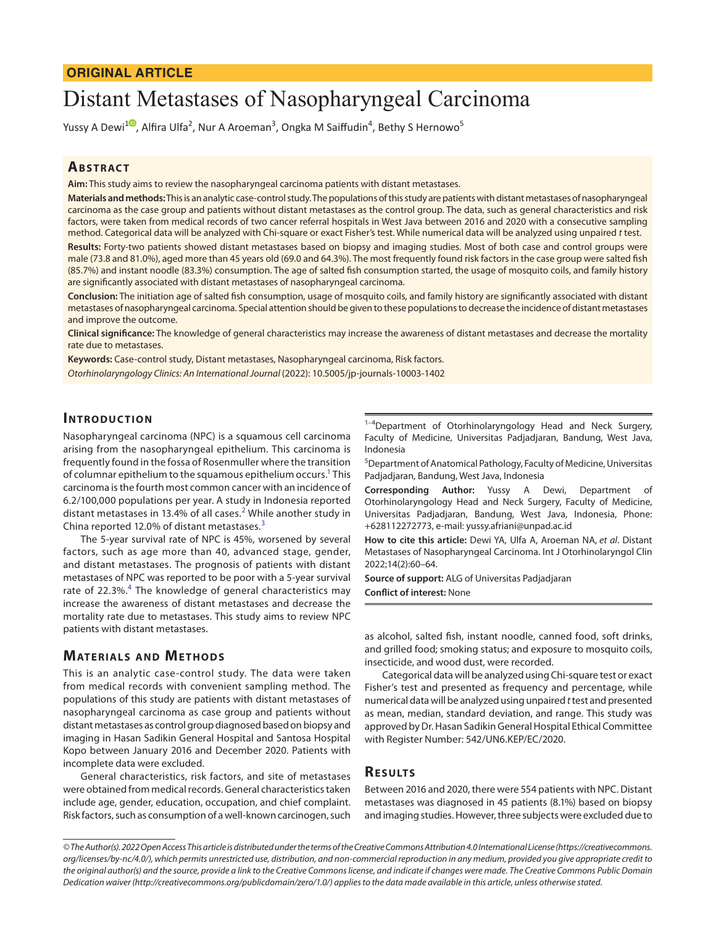# **ORIGINAL ARTICLE**

# Distant Metastases of Nasopharyngeal Carcinoma

Yussy A Dewi<sup>[1](https://orcid.org/0000-0002-2196-3717)0</sup>, Alfira Ulfa<sup>2</sup>, Nur A Aroeman<sup>3</sup>, Ongka M Saiffudin<sup>4</sup>, Bethy S Hernowo<sup>5</sup>

# **ABSTRACT**

**Aim:** This study aims to review the nasopharyngeal carcinoma patients with distant metastases.

**Materials and methods:** This is an analytic case-control study. The populations of this study are patients with distant metastases of nasopharyngeal carcinoma as the case group and patients without distant metastases as the control group. The data, such as general characteristics and risk factors, were taken from medical records of two cancer referral hospitals in West Java between 2016 and 2020 with a consecutive sampling method. Categorical data will be analyzed with Chi-square or exact Fisher's test. While numerical data will be analyzed using unpaired *t* test.

**Results:** Forty-two patients showed distant metastases based on biopsy and imaging studies. Most of both case and control groups were male (73.8 and 81.0%), aged more than 45 years old (69.0 and 64.3%). The most frequently found risk factors in the case group were salted fish (85.7%) and instant noodle (83.3%) consumption. The age of salted fish consumption started, the usage of mosquito coils, and family history are significantly associated with distant metastases of nasopharyngeal carcinoma.

**Conclusion:** The initiation age of salted fish consumption, usage of mosquito coils, and family history are significantly associated with distant metastases of nasopharyngeal carcinoma. Special attention should be given to these populations to decrease the incidence of distant metastases and improve the outcome.

**Clinical significance:** The knowledge of general characteristics may increase the awareness of distant metastases and decrease the mortality rate due to metastases.

**Keywords:** Case-control study, Distant metastases, Nasopharyngeal carcinoma, Risk factors.

*Otorhinolaryngology Clinics: An International Journal* (2022): 10.5005/jp-journals-10003-1402

# **INTRODUCTION**

Nasopharyngeal carcinoma (NPC) is a squamous cell carcinoma arising from the nasopharyngeal epithelium. This carcinoma is frequently found in the fossa of Rosenmuller where the transition of columnar epithelium to the squamous epithelium occurs.<sup>1</sup> This carcinoma is the fourth most common cancer with an incidence of 6.2/100,000 populations per year. A study in Indonesia reported distant metastases in 13.4% of all cases.<sup>[2](#page-3-1)</sup> While another study in China reported 12.0% of distant metastases.<sup>[3](#page-3-2)</sup>

The 5-year survival rate of NPC is 45%, worsened by several factors, such as age more than 40, advanced stage, gender, and distant metastases. The prognosis of patients with distant metastases of NPC was reported to be poor with a 5-year survival rate of 22.3%.<sup>[4](#page-3-3)</sup> The knowledge of general characteristics may increase the awareness of distant metastases and decrease the mortality rate due to metastases. This study aims to review NPC patients with distant metastases.

# **MATERIALS AND METHODS**

This is an analytic case-control study. The data were taken from medical records with convenient sampling method. The populations of this study are patients with distant metastases of nasopharyngeal carcinoma as case group and patients without distant metastases as control group diagnosed based on biopsy and imaging in Hasan Sadikin General Hospital and Santosa Hospital Kopo between January 2016 and December 2020. Patients with incomplete data were excluded.

General characteristics, risk factors, and site of metastases were obtained from medical records. General characteristics taken include age, gender, education, occupation, and chief complaint. Risk factors, such as consumption of a well-known carcinogen, such

 $1-4$ Department of Otorhinolaryngology Head and Neck Surgery, Faculty of Medicine, Universitas Padjadjaran, Bandung, West Java, Indonesia

5 Department of Anatomical Pathology, Faculty of Medicine, Universitas Padjadjaran, Bandung, West Java, Indonesia

**Corresponding Author:** Yussy A Dewi, Department of Otorhinolaryngology Head and Neck Surgery, Faculty of Medicine, Universitas Padjadjaran, Bandung, West Java, Indonesia, Phone: +628112272773, e-mail: yussy.afriani@unpad.ac.id

**How to cite this article:** Dewi YA, Ulfa A, Aroeman NA, *et al*. Distant Metastases of Nasopharyngeal Carcinoma. Int J Otorhinolaryngol Clin 2022;14(2):60–64.

**Source of support:** ALG of Universitas Padjadjaran **Conflict of interest:** None

as alcohol, salted fish, instant noodle, canned food, soft drinks, and grilled food; smoking status; and exposure to mosquito coils, insecticide, and wood dust, were recorded.

Categorical data will be analyzed using Chi-square test or exact Fisher's test and presented as frequency and percentage, while numerical data will be analyzed using unpaired *t* test and presented as mean, median, standard deviation, and range. This study was approved by Dr. Hasan Sadikin General Hospital Ethical Committee with Register Number: 542/UN6.KEP/EC/2020.

# **RESULTS**

Between 2016 and 2020, there were 554 patients with NPC. Distant metastases was diagnosed in 45 patients (8.1%) based on biopsy and imaging studies. However, three subjects were excluded due to

*<sup>©</sup> The Author(s). 2022 Open Access This article is distributed under the terms of the Creative Commons Attribution 4.0 International License ([https://creativecommons.](https://creativecommons. org/licenses/by-nc/4.0/)  [org/licenses/by-nc/4.0/](https://creativecommons. org/licenses/by-nc/4.0/)), which permits unrestricted use, distribution, and non-commercial reproduction in any medium, provided you give appropriate credit to the original author(s) and the source, provide a link to the Creative Commons license, and indicate if changes were made. The Creative Commons Public Domain Dedication waiver [\(http://creativecommons.org/publicdomain/zero/1.0/](http://creativecommons.org/publicdomain/zero/1.0/)) applies to the data made available in this article, unless otherwise stated.*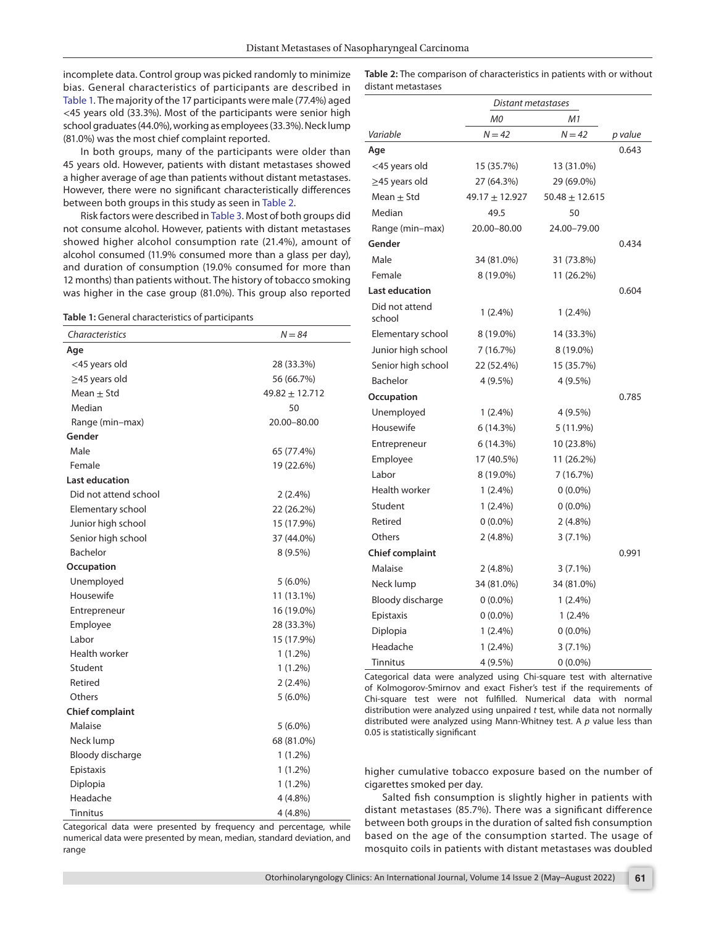incomplete data. Control group was picked randomly to minimize bias. General characteristics of participants are described in [Table 1.](#page-1-0) The majority of the 17 participants were male (77.4%) aged <45 years old (33.3%). Most of the participants were senior high school graduates (44.0%), working as employees (33.3%). Neck lump (81.0%) was the most chief complaint reported.

In both groups, many of the participants were older than 45 years old. However, patients with distant metastases showed a higher average of age than patients without distant metastases. However, there were no significant characteristically differences between both groups in this study as seen in [Table 2](#page-1-1).

Risk factors were described in [Table 3.](#page-2-0) Most of both groups did not consume alcohol. However, patients with distant metastases showed higher alcohol consumption rate (21.4%), amount of alcohol consumed (11.9% consumed more than a glass per day), and duration of consumption (19.0% consumed for more than 12 months) than patients without. The history of tobacco smoking was higher in the case group (81.0%). This group also reported

<span id="page-1-0"></span>

| Table 1: General characteristics of participants |  |
|--------------------------------------------------|--|
|--------------------------------------------------|--|

| Characteristics        | $N = 84$         |
|------------------------|------------------|
| Age                    |                  |
| <45 years old          | 28 (33.3%)       |
| $\geq$ 45 years old    | 56 (66.7%)       |
| Mean $\pm$ Std         | $49.82 + 12.712$ |
| Median                 | 50               |
| Range (min-max)        | 20.00-80.00      |
| Gender                 |                  |
| Male                   | 65 (77.4%)       |
| Female                 | 19 (22.6%)       |
| Last education         |                  |
| Did not attend school  | $2(2.4\%)$       |
| Elementary school      | 22 (26.2%)       |
| Junior high school     | 15 (17.9%)       |
| Senior high school     | 37 (44.0%)       |
| Bachelor               | 8 (9.5%)         |
| Occupation             |                  |
| Unemployed             | $5(6.0\%)$       |
| Housewife              | 11 (13.1%)       |
| Entrepreneur           | 16 (19.0%)       |
| Employee               | 28 (33.3%)       |
| Labor                  | 15 (17.9%)       |
| Health worker          | $1(1.2\%)$       |
| Student                | $1(1.2\%)$       |
| Retired                | $2(2.4\%)$       |
| Others                 | $5(6.0\%)$       |
| <b>Chief complaint</b> |                  |
| Malaise                | $5(6.0\%)$       |
| Neck lump              | 68 (81.0%)       |
| Bloody discharge       | $1(1.2\%)$       |
| Epistaxis              | $1(1.2\%)$       |
| Diplopia               | $1(1.2\%)$       |
| Headache               | $4(4.8\%)$       |
| Tinnitus               | 4 (4.8%)         |

<span id="page-1-1"></span>

| Table 2: The comparison of characteristics in patients with or without |  |
|------------------------------------------------------------------------|--|
| distant metastases                                                     |  |

|                          | Distant metastases |                    |         |
|--------------------------|--------------------|--------------------|---------|
|                          | M0                 | M1                 |         |
| Variable                 | $N = 42$           | $N = 42$           | p value |
| Age                      |                    |                    | 0.643   |
| <45 years old            | 15 (35.7%)         | 13 (31.0%)         |         |
| $\geq$ 45 years old      | 27 (64.3%)         | 29 (69.0%)         |         |
| Mean $\pm$ Std           | 49.17 ± 12.927     | $50.48 \pm 12.615$ |         |
| Median                   | 49.5               | 50                 |         |
| Range (min-max)          | 20.00-80.00        | 24.00-79.00        |         |
| Gender                   |                    |                    | 0.434   |
| Male                     | 34 (81.0%)         | 31 (73.8%)         |         |
| Female                   | 8 (19.0%)          | 11 (26.2%)         |         |
| <b>Last education</b>    |                    |                    | 0.604   |
| Did not attend<br>school | $1(2.4\%)$         | $1(2.4\%)$         |         |
| Elementary school        | 8 (19.0%)          | 14 (33.3%)         |         |
| Junior high school       | 7 (16.7%)          | 8 (19.0%)          |         |
| Senior high school       | 22 (52.4%)         | 15 (35.7%)         |         |
| Bachelor                 | 4 (9.5%)           | 4 (9.5%)           |         |
| Occupation               |                    |                    | 0.785   |
| Unemployed               | $1(2.4\%)$         | 4 (9.5%)           |         |
| Housewife                | 6 (14.3%)          | 5 (11.9%)          |         |
| Entrepreneur             | 6(14.3%)           | 10 (23.8%)         |         |
| Employee                 | 17 (40.5%)         | 11 (26.2%)         |         |
| Labor                    | 8 (19.0%)          | 7 (16.7%)          |         |
| Health worker            | $1(2.4\%)$         | $0(0.0\%)$         |         |
| Student                  | $1(2.4\%)$         | $0(0.0\%)$         |         |
| Retired                  | $0(0.0\%)$         | $2(4.8\%)$         |         |
| Others                   | $2(4.8\%)$         | $3(7.1\%)$         |         |
| <b>Chief complaint</b>   |                    |                    | 0.991   |
| Malaise                  | $2(4.8\%)$         | $3(7.1\%)$         |         |
| Neck lump                | 34 (81.0%)         | 34 (81.0%)         |         |
| Bloody discharge         | $0(0.0\%)$         | $1(2.4\%)$         |         |
| Epistaxis                | $0(0.0\%)$         | 1(2.4%             |         |
| Diplopia                 | $1(2.4\%)$         | $0(0.0\%)$         |         |
| Headache                 | $1(2.4\%)$         | $3(7.1\%)$         |         |
| <b>Tinnitus</b>          | 4 (9.5%)           | $0(0.0\%)$         |         |

Categorical data were analyzed using Chi-square test with alternative of Kolmogorov-Smirnov and exact Fisher's test if the requirements of Chi-square test were not fulfilled. Numerical data with normal distribution were analyzed using unpaired *t* test, while data not normally distributed were analyzed using Mann-Whitney test. A *p* value less than 0.05 is statistically significant

higher cumulative tobacco exposure based on the number of cigarettes smoked per day.

Salted fish consumption is slightly higher in patients with distant metastases (85.7%). There was a significant difference between both groups in the duration of salted fish consumption based on the age of the consumption started. The usage of mosquito coils in patients with distant metastases was doubled

Categorical data were presented by frequency and percentage, while numerical data were presented by mean, median, standard deviation, and range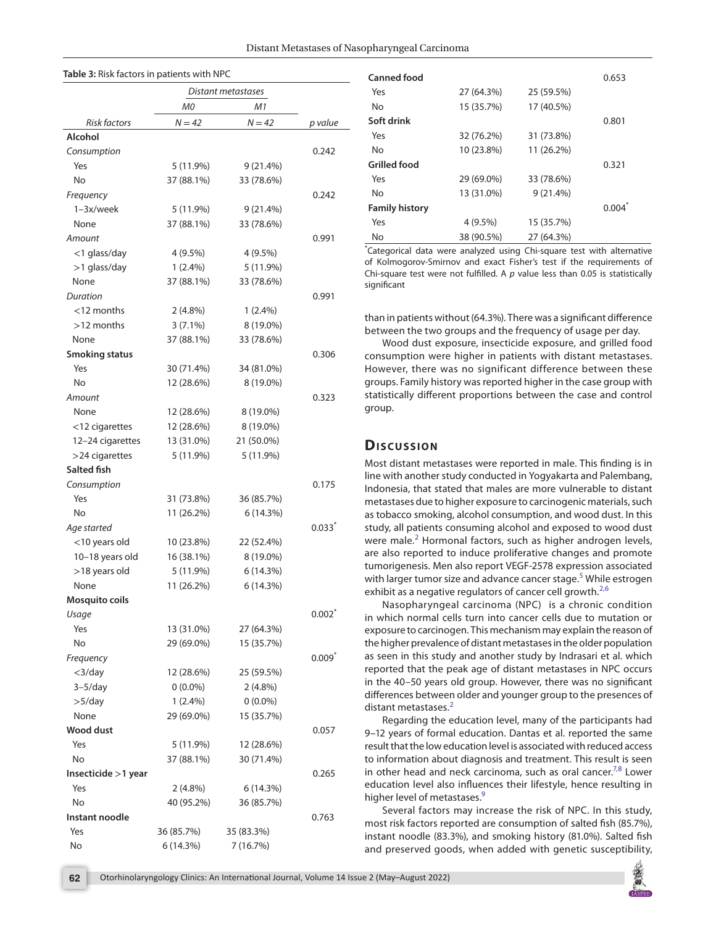<span id="page-2-0"></span>

| Table 3: Risk factors in patients with NPC |            |                    |          |
|--------------------------------------------|------------|--------------------|----------|
|                                            |            | Distant metastases |          |
|                                            | МO         | M1                 |          |
| <b>Risk factors</b>                        | $N = 42$   | $N = 42$           | p value  |
| Alcohol                                    |            |                    |          |
| Consumption                                |            |                    | 0.242    |
| Yes                                        | 5 (11.9%)  | 9(21.4%)           |          |
| No                                         | 37 (88.1%) | 33 (78.6%)         |          |
| Frequency                                  |            |                    | 0.242    |
| 1-3x/week                                  | 5 (11.9%)  | $9(21.4\%)$        |          |
| None                                       | 37 (88.1%) | 33 (78.6%)         |          |
| Amount                                     |            |                    | 0.991    |
| $<$ 1 glass/day                            | $4(9.5\%)$ | $4(9.5\%)$         |          |
| $>1$ glass/day                             | $1(2.4\%)$ | 5 (11.9%)          |          |
| None                                       | 37 (88.1%) | 33 (78.6%)         |          |
| Duration                                   |            |                    | 0.991    |
| $<$ 12 months                              | $2(4.8\%)$ | $1(2.4\%)$         |          |
| $>12$ months                               | $3(7.1\%)$ | 8 (19.0%)          |          |
| None                                       | 37 (88.1%) | 33 (78.6%)         |          |
| <b>Smoking status</b>                      |            |                    | 0.306    |
| Yes                                        | 30 (71.4%) | 34 (81.0%)         |          |
| No                                         | 12 (28.6%) | 8 (19.0%)          |          |
| Amount                                     |            |                    | 0.323    |
| None                                       | 12 (28.6%) | 8 (19.0%)          |          |
| $<$ 12 cigarettes                          | 12 (28.6%) | 8 (19.0%)          |          |
| 12-24 cigarettes                           | 13 (31.0%) | 21 (50.0%)         |          |
| $>$ 24 cigarettes                          | 5 (11.9%)  | 5 (11.9%)          |          |
| Salted fish                                |            |                    |          |
| Consumption                                |            |                    | 0.175    |
| Yes                                        | 31 (73.8%) | 36 (85.7%)         |          |
| No                                         | 11 (26.2%) | 6(14.3%)           |          |
| Age started                                |            |                    | 0.033    |
| $<$ 10 years old                           | 10 (23.8%) | 22 (52.4%)         |          |
| 10-18 years old                            | 16 (38.1%) | 8 (19.0%)          |          |
| >18 years old                              | 5 (11.9%)  | 6 (14.3%)          |          |
| None                                       | 11 (26.2%) | 6(14.3%)           |          |
| <b>Mosquito coils</b>                      |            |                    |          |
| Usage                                      |            |                    | $0.002*$ |
| Yes                                        | 13 (31.0%) | 27 (64.3%)         |          |
| No                                         | 29 (69.0%) | 15 (35.7%)         |          |
| Frequency                                  |            |                    | $0.009*$ |
| $<$ 3/day                                  | 12 (28.6%) | 25 (59.5%)         |          |
| $3-5/day$                                  | $0(0.0\%)$ | $2(4.8\%)$         |          |
| $>5$ /day                                  | $1(2.4\%)$ | $0(0.0\%)$         |          |
| None                                       | 29 (69.0%) | 15 (35.7%)         |          |
| Wood dust                                  |            |                    | 0.057    |
| Yes                                        | 5 (11.9%)  | 12 (28.6%)         |          |
| No                                         | 37 (88.1%) | 30 (71.4%)         |          |
| Insecticide >1 year                        |            |                    | 0.265    |
| Yes                                        | $2(4.8\%)$ | 6(14.3%)           |          |
| No                                         | 40 (95.2%) | 36 (85.7%)         |          |
| Instant noodle                             |            |                    | 0.763    |
| Yes                                        | 36 (85.7%) | 35 (83.3%)         |          |
| No                                         | 6 (14.3%)  | 7 (16.7%)          |          |
|                                            |            |                    |          |

| Canned food           |            |             | 0.653 |
|-----------------------|------------|-------------|-------|
| Yes                   | 27 (64.3%) | 25 (59.5%)  |       |
| No                    | 15 (35.7%) | 17 (40.5%)  |       |
| Soft drink            |            |             | 0.801 |
| Yes                   | 32 (76.2%) | 31 (73.8%)  |       |
| <b>No</b>             | 10 (23.8%) | 11 (26.2%)  |       |
| Grilled food          |            |             | 0.321 |
| Yes                   | 29 (69.0%) | 33 (78.6%)  |       |
| <b>No</b>             | 13 (31.0%) | $9(21.4\%)$ |       |
| <b>Family history</b> |            |             | 0.004 |
| Yes                   | $4(9.5\%)$ | 15 (35.7%)  |       |
| <b>No</b>             | 38 (90.5%) | 27 (64.3%)  |       |

\* Categorical data were analyzed using Chi-square test with alternative of Kolmogorov-Smirnov and exact Fisher's test if the requirements of Chi-square test were not fulfilled. A *p* value less than 0.05 is statistically significant

than in patients without (64.3%). There was a significant difference between the two groups and the frequency of usage per day.

Wood dust exposure, insecticide exposure, and grilled food consumption were higher in patients with distant metastases. However, there was no significant difference between these groups. Family history was reported higher in the case group with statistically different proportions between the case and control group.

#### **Dis c u s sio n**

Most distant metastases were reported in male. This finding is in line with another study conducted in Yogyakarta and Palembang, Indonesia, that stated that males are more vulnerable to distant metastases due to higher exposure to carcinogenic materials, such as tobacco smoking, alcohol consumption, and wood dust. In this study, all patients consuming alcohol and exposed to wood dust were male. $2$  Hormonal factors, such as higher androgen levels, are also reported to induce proliferative changes and promote tumorigenesis. Men also report VEGF-2578 expression associated with larger tumor size and advance cancer stage.<sup>[5](#page-2-0)</sup> While estrogen exhibit as a negative regulators of cancer cell growth. $2,6$  $2,6$  $2,6$ 

Nasopharyngeal carcinoma (NPC) is a chronic condition in which normal cells turn into cancer cells due to mutation or exposure to carcinogen. This mechanism may explain the reason of the higher prevalence of distant metastases in the older population as seen in this study and another study by Indrasari et al. which reported that the peak age of distant metastases in NPC occurs in the 40–50 years old group. However, there was no significant differences between older and younger group to the presences of distant metastases. $2$ 

Regarding the education level, many of the participants had 9–12 years of formal education. Dantas et al. reported the same result that the low education level is associated with reduced access to information about diagnosis and treatment. This result is seen in other head and neck carcinoma, such as oral cancer.<sup>7,[8](#page-3-6)</sup> Lower education level also influences their lifestyle, hence resulting in higher level of metastases.<sup>9</sup>

Several factors may increase the risk of NPC. In this study, most risk factors reported are consumption of salted fish (85.7%), instant noodle (83.3%), and smoking history (81.0%). Salted fish and preserved goods, when added with genetic susceptibility,

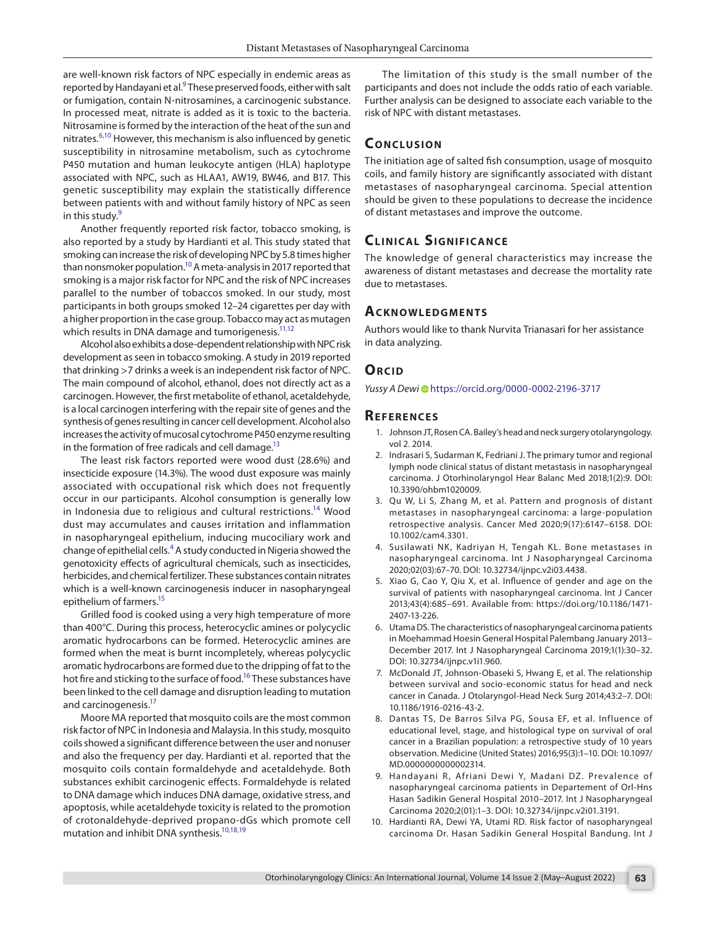are well-known risk factors of NPC especially in endemic areas as reported by Handayani et al. $^9$  These preserved foods, either with salt or fumigation, contain N-nitrosamines, a carcinogenic substance. In processed meat, nitrate is added as it is toxic to the bacteria. Nitrosamine is formed by the interaction of the heat of the sun and nitrates.<sup>[6](#page-3-4)[,10](#page-3-8)</sup> However, this mechanism is also influenced by genetic susceptibility in nitrosamine metabolism, such as cytochrome P450 mutation and human leukocyte antigen (HLA) haplotype associated with NPC, such as HLAA1, AW19, BW46, and B17. This genetic susceptibility may explain the statistically difference between patients with and without family history of NPC as seen in this study.<sup>9</sup>

Another frequently reported risk factor, tobacco smoking, is also reported by a study by Hardianti et al. This study stated that smoking can increase the risk of developing NPC by 5.8 times higher than nonsmoker population.<sup>10</sup> A meta-analysis in 2017 reported that smoking is a major risk factor for NPC and the risk of NPC increases parallel to the number of tobaccos smoked. In our study, most participants in both groups smoked 12–24 cigarettes per day with a higher proportion in the case group. Tobacco may act as mutagen which results in DNA damage and tumorigenesis.<sup>11,[12](#page-4-1)</sup>

Alcohol also exhibits a dose-dependent relationship with NPC risk development as seen in tobacco smoking. A study in 2019 reported that drinking >7 drinks a week is an independent risk factor of NPC. The main compound of alcohol, ethanol, does not directly act as a carcinogen. However, the first metabolite of ethanol, acetaldehyde, is a local carcinogen interfering with the repair site of genes and the synthesis of genes resulting in cancer cell development. Alcohol also increases the activity of mucosal cytochrome P450 enzyme resulting in the formation of free radicals and cell damage.<sup>13</sup>

The least risk factors reported were wood dust (28.6%) and insecticide exposure (14.3%). The wood dust exposure was mainly associated with occupational risk which does not frequently occur in our participants. Alcohol consumption is generally low in Indonesia due to religious and cultural restrictions.<sup>14</sup> Wood dust may accumulates and causes irritation and inflammation in nasopharyngeal epithelium, inducing mucociliary work and change of epithelial cells.<sup>4</sup> A study conducted in Nigeria showed the genotoxicity effects of agricultural chemicals, such as insecticides, herbicides, and chemical fertilizer. These substances contain nitrates which is a well-known carcinogenesis inducer in nasopharyngeal epithelium of farmers.<sup>15</sup>

Grilled food is cooked using a very high temperature of more than 400°C. During this process, heterocyclic amines or polycyclic aromatic hydrocarbons can be formed. Heterocyclic amines are formed when the meat is burnt incompletely, whereas polycyclic aromatic hydrocarbons are formed due to the dripping of fat to the hot fire and sticking to the surface of food.<sup>16</sup> These substances have been linked to the cell damage and disruption leading to mutation and carcinogenesis.<sup>17</sup>

Moore MA reported that mosquito coils are the most common risk factor of NPC in Indonesia and Malaysia. In this study, mosquito coils showed a significant difference between the user and nonuser and also the frequency per day. Hardianti et al. reported that the mosquito coils contain formaldehyde and acetaldehyde. Both substances exhibit carcinogenic effects. Formaldehyde is related to DNA damage which induces DNA damage, oxidative stress, and apoptosis, while acetaldehyde toxicity is related to the promotion of crotonaldehyde-deprived propano-dGs which promote cell mutation and inhibit DNA synthesis.<sup>10,[18](#page-4-7)[,19](#page-4-8)</sup>

The limitation of this study is the small number of the participants and does not include the odds ratio of each variable. Further analysis can be designed to associate each variable to the risk of NPC with distant metastases.

# **CONCLUSION**

The initiation age of salted fish consumption, usage of mosquito coils, and family history are significantly associated with distant metastases of nasopharyngeal carcinoma. Special attention should be given to these populations to decrease the incidence of distant metastases and improve the outcome.

# **CLINICAL SIGNIFICANCE**

The knowledge of general characteristics may increase the awareness of distant metastases and decrease the mortality rate due to metastases.

#### **Ac k n ow l e d gme n ts**

Authors would like to thank Nurvita Trianasari for her assistance in data analyzing.

#### **ORCID**

*Yussy A Dewi* [h](https://orcid.org/0000-0002-2196-3717)ttps://orcid.org/0000-0002-2196-3717

#### **Re f e r e n c e s**

- <span id="page-3-0"></span>1. Johnson JT, Rosen CA. Bailey's head and neck surgery otolaryngology. vol 2. 2014.
- <span id="page-3-1"></span>2. Indrasari S, Sudarman K, Fedriani J. The primary tumor and regional lymph node clinical status of distant metastasis in nasopharyngeal carcinoma. J Otorhinolaryngol Hear Balanc Med 2018;1(2):9. DOI: 10.3390/ohbm1020009.
- <span id="page-3-2"></span>3. Qu W, Li S, Zhang M, et al. Pattern and prognosis of distant metastases in nasopharyngeal carcinoma: a large-population retrospective analysis. Cancer Med 2020;9(17):6147–6158. DOI: 10.1002/cam4.3301.
- <span id="page-3-3"></span>4. Susilawati NK, Kadriyan H, Tengah KL. Bone metastases in nasopharyngeal carcinoma. Int J Nasopharyngeal Carcinoma 2020;02(03):67–70. DOI: 10.32734/ijnpc.v2i03.4438.
- 5. Xiao G, Cao Y, Qiu X, et al. Influence of gender and age on the survival of patients with nasopharyngeal carcinoma. Int J Cancer 2013;43(4):685–691. Available from: https://doi.org/10.1186/1471- 2407-13-226.
- <span id="page-3-4"></span>6. Utama DS. The characteristics of nasopharyngeal carcinoma patients in Moehammad Hoesin General Hospital Palembang January 2013– December 2017. Int J Nasopharyngeal Carcinoma 2019;1(1):30–32. DOI: 10.32734/ijnpc.v1i1.960.
- <span id="page-3-5"></span>7. McDonald JT, Johnson-Obaseki S, Hwang E, et al. The relationship between survival and socio-economic status for head and neck cancer in Canada. J Otolaryngol-Head Neck Surg 2014;43:2–7. DOI: 10.1186/1916-0216-43-2.
- <span id="page-3-6"></span>8. Dantas TS, De Barros Silva PG, Sousa EF, et al. Influence of educational level, stage, and histological type on survival of oral cancer in a Brazilian population: a retrospective study of 10 years observation. Medicine (United States) 2016;95(3):1–10. DOI: 10.1097/ MD.0000000000002314.
- <span id="page-3-7"></span>9. Handayani R, Afriani Dewi Y, Madani DZ. Prevalence of nasopharyngeal carcinoma patients in Departement of Orl-Hns Hasan Sadikin General Hospital 2010–2017. Int J Nasopharyngeal Carcinoma 2020;2(01):1–3. DOI: 10.32734/ijnpc.v2i01.3191.
- <span id="page-3-8"></span>10. Hardianti RA, Dewi YA, Utami RD. Risk factor of nasopharyngeal carcinoma Dr. Hasan Sadikin General Hospital Bandung. Int J